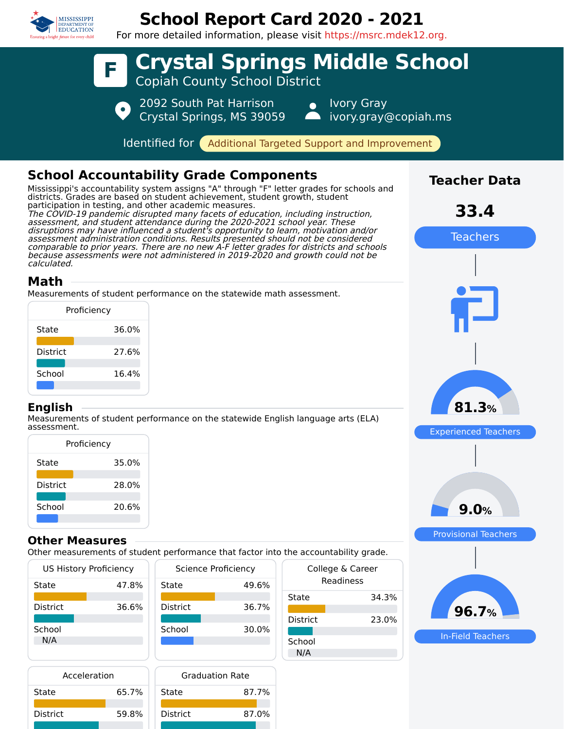

## **School Report Card 2020 - 2021**

For more detailed information, please visit https://msrc.mdek12.org.



**School** N/A

In-Field Teachers

87.7%

87.0%

N/A

State

District

| Acceleration |       | <b>Graduation Rate</b> |  |
|--------------|-------|------------------------|--|
|              | 65.7% | State                  |  |
|              | 59.8% | <b>District</b>        |  |